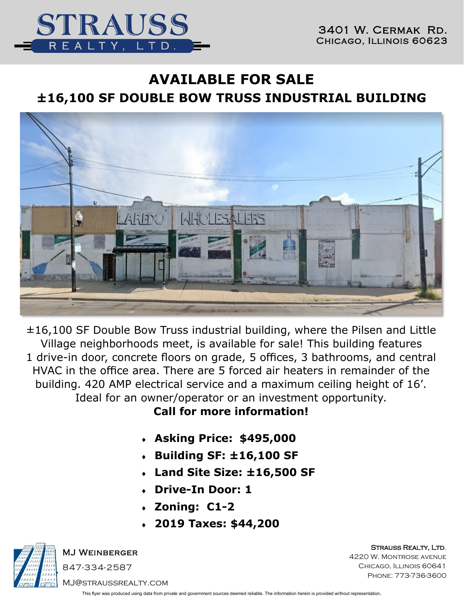



# **AVAILABLE FOR SALE ±16,100 SF DOUBLE BOW TRUSS INDUSTRIAL BUILDING**



±16,100 SF Double Bow Truss industrial building, where the Pilsen and Little Village neighborhoods meet, is available for sale! This building features 1 drive-in door, concrete floors on grade, 5 offices, 3 bathrooms, and central HVAC in the office area. There are 5 forced air heaters in remainder of the building. 420 AMP electrical service and a maximum ceiling height of 16'. Ideal for an owner/operator or an investment opportunity.

**Call for more information!**

- **Asking Price: \$495,000**
- **Building SF: ±16,100 SF**
- **Land Site Size: ±16,500 SF**
- **Drive-In Door: 1**
- **Zoning: C1-2**
- **2019 Taxes: \$44,200**



MJ Weinberger

847-334-2587

Strauss Realty, Ltd.

4220 W. Montrose avenue CHICAGO, ILLINOIS 60641 Phone: 773-736-3600

MJ@straussrealty.com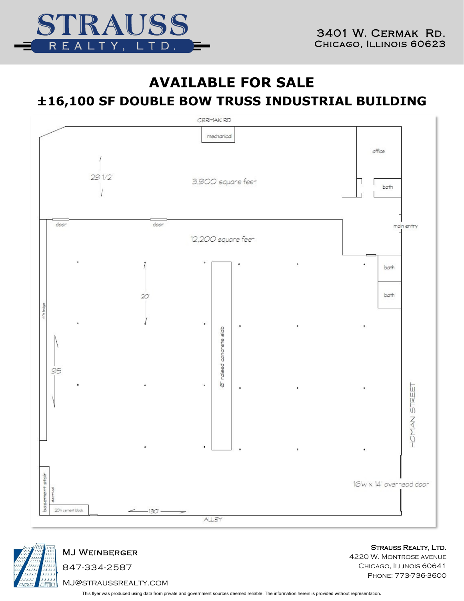

### **AVAILABLE FOR SALE**

## **±16,100 SF DOUBLE BOW TRUSS INDUSTRIAL BUILDING**





#### MJ Weinberger

847-334-2587 MJ@straussrealty.com Strauss Realty, Ltd.

4220 W. Montrose avenue CHICAGO, ILLINOIS 60641 Phone: 773-736-3600

This flyer was produced using data from private and government sources deemed reliable. The information herein is provided without representation.